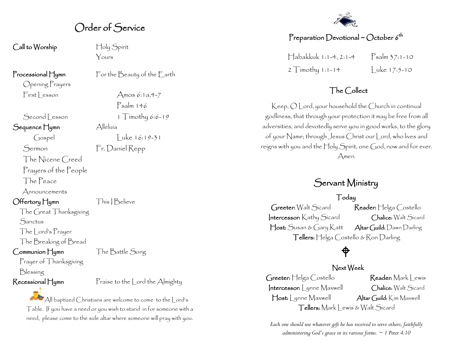Order of Service

Call to Worship Holy Spirit

Opening Prayers

Sequence Hymn Alleluía

Sermon Fr. Daniel Repp

The Nicene Creed Prayers of the People

The Peace

Announcements

Offertory Hymn This | Believe

The Great Thanksgiving **Sanctus** 

The Lord's Prayer

The Breaking of Bread

Communion Hymn The Battle Song

Prayer of Thanksgiving Blessing

Recessional Hymn Praise to the Lord the Almighty

 $\mathbb{A}$  All baptized Christians are welcome to come to the  $|$  ord's Table. If you have a need or you wish to stand in for someone with a need, please come to the side altar where someone will pray with you.

Yours

Processional Hymn For the Beauty of the Earth

 $First less on$   $\Delta$ mos 6:1a,4-7 Psalm 146 Second Lesson 1 Timothy 6:6-19  $\int \cosh \theta$  luke 16:19-31

#### Preparation Devotional ~ October  $6^{\sf th}$

Habakkuk 1:1-4, 2:1-4 Psalm 37:1-10 2  $T$ imothy 1:1-14  $|$ uke 17:5-10

#### The Collect

Keep, O Lord, your household the Church in continual godliness, that through your protection it may be free from all adversities, and devotedly serve you in good works, to the glory of your Name; through Jesus Christ our Lord, who lives and reigns with you and the Holy Spirit, one God, now and for ever. Amen.

## Servant Ministry

#### Today

Greeter: Walt Sicard Reader: Helga Costello Intercessor: Kathy Sicard Chalice: Walt Sicard Host: Susan & Gary Katt Altar Guild: Dawn Darling Tellers: Helga Costello & Ron Darling

# $\bigoplus$

#### Next Week

Greeter: Helga Costello Reader: Mark Lewis Intercessor: Lynne Maxwell Chalice: Walt Sicard Host: Lynne Maxwell Altar Guild: Kim Maxwell Tellers: Mark Lewis & Walt Sicard

*Each one should use whatever gift he has received to serve others, faithfully administering God's grace in its various forms. ~ 1 Peter 4:10*